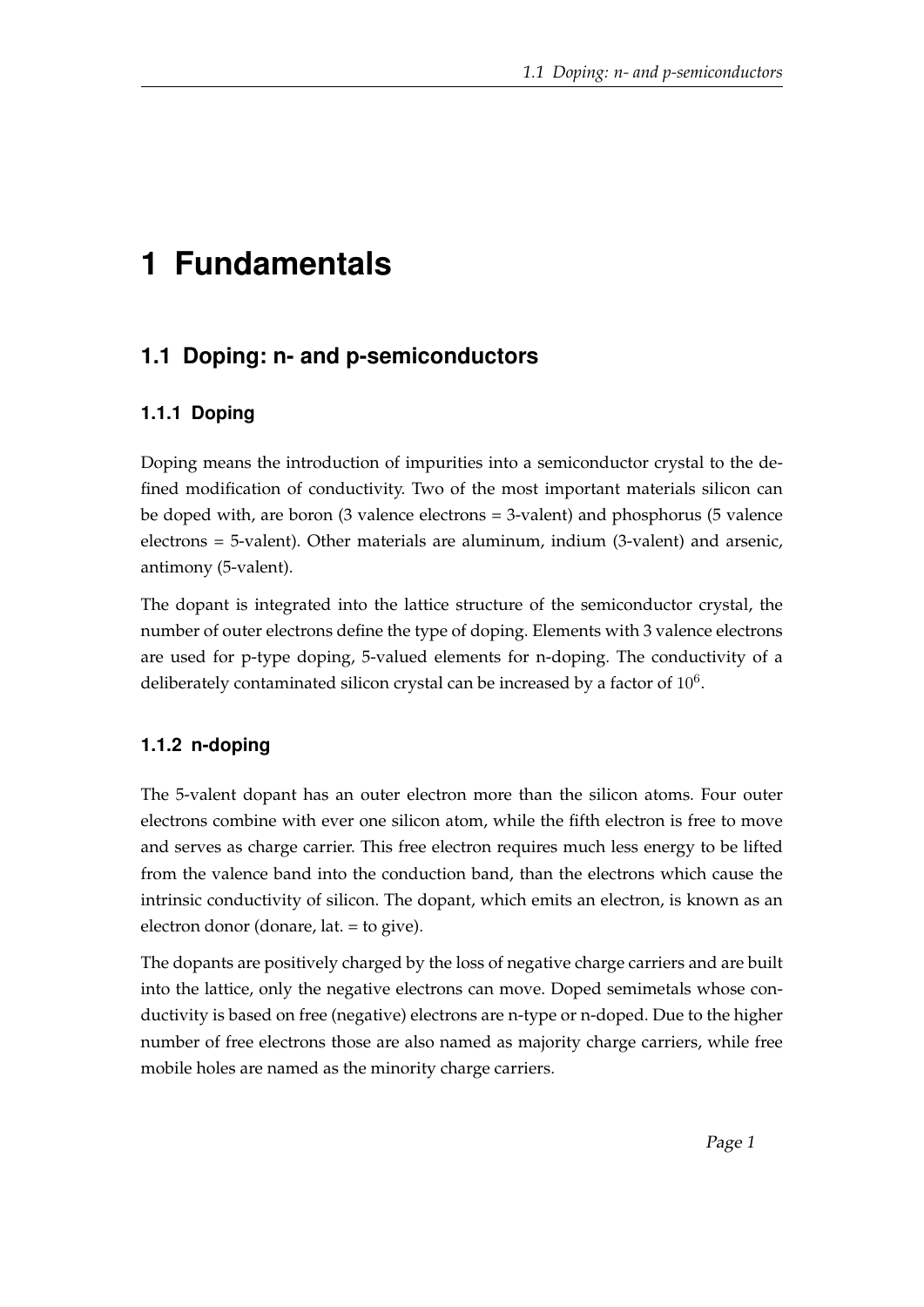# **1 Fundamentals**

## **1.1 Doping: n- and p-semiconductors**

#### **1.1.1 Doping**

Doping means the introduction of impurities into a semiconductor crystal to the defined modification of conductivity. Two of the most important materials silicon can be doped with, are boron (3 valence electrons = 3-valent) and phosphorus (5 valence electrons = 5-valent). Other materials are aluminum, indium (3-valent) and arsenic, antimony (5-valent).

The dopant is integrated into the lattice structure of the semiconductor crystal, the number of outer electrons define the type of doping. Elements with 3 valence electrons are used for p-type doping, 5-valued elements for n-doping. The conductivity of a deliberately contaminated silicon crystal can be increased by a factor of  $10^6$ .

#### **1.1.2 n-doping**

The 5-valent dopant has an outer electron more than the silicon atoms. Four outer electrons combine with ever one silicon atom, while the fifth electron is free to move and serves as charge carrier. This free electron requires much less energy to be lifted from the valence band into the conduction band, than the electrons which cause the intrinsic conductivity of silicon. The dopant, which emits an electron, is known as an electron donor (donare, lat. = to give).

The dopants are positively charged by the loss of negative charge carriers and are built into the lattice, only the negative electrons can move. Doped semimetals whose conductivity is based on free (negative) electrons are n-type or n-doped. Due to the higher number of free electrons those are also named as majority charge carriers, while free mobile holes are named as the minority charge carriers.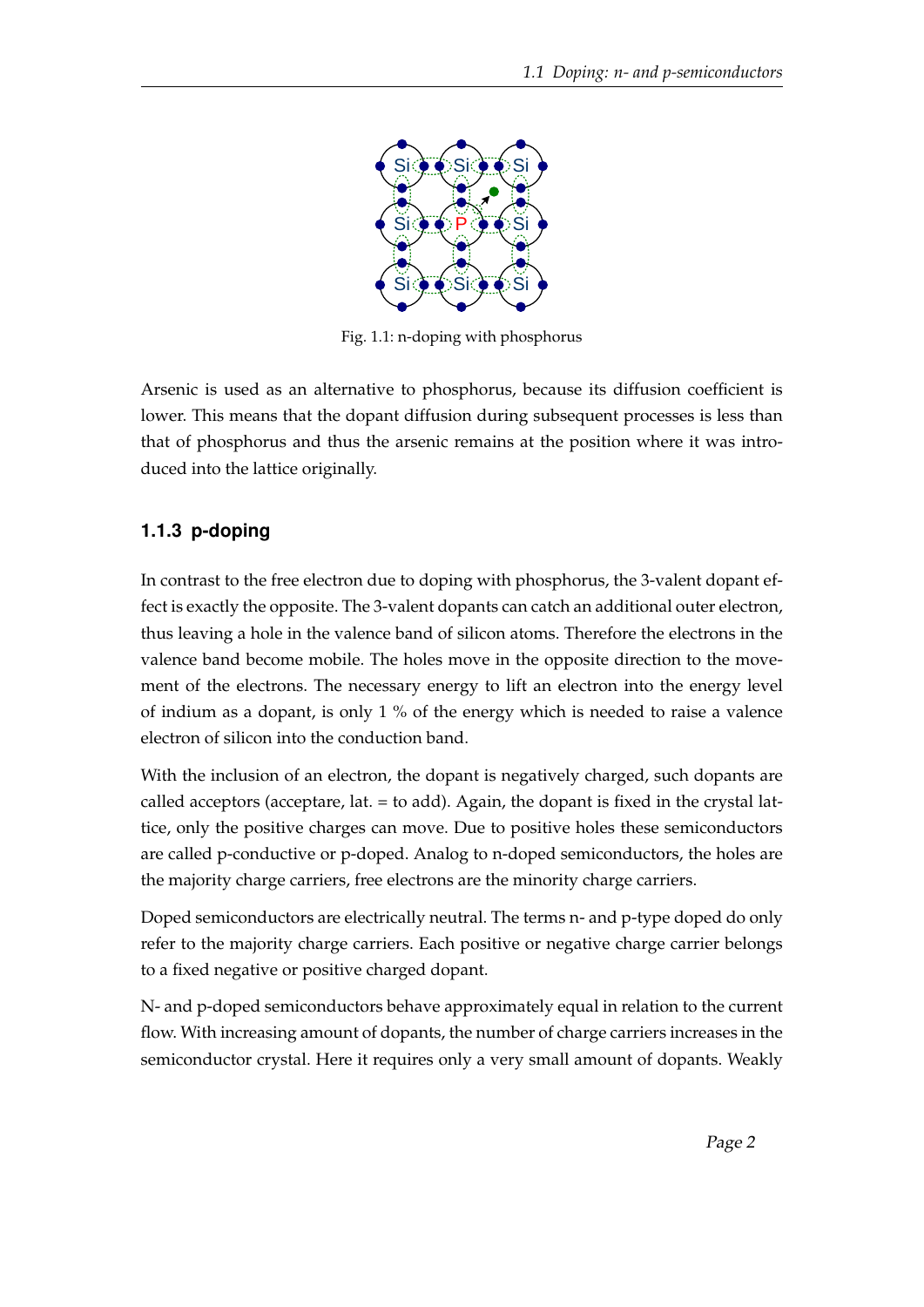

Fig. 1.1: n-doping with phosphorus

Arsenic is used as an alternative to phosphorus, because its diffusion coefficient is lower. This means that the dopant diffusion during subsequent processes is less than that of phosphorus and thus the arsenic remains at the position where it was introduced into the lattice originally.

### **1.1.3 p-doping**

In contrast to the free electron due to doping with phosphorus, the 3-valent dopant effect is exactly the opposite. The 3-valent dopants can catch an additional outer electron, thus leaving a hole in the valence band of silicon atoms. Therefore the electrons in the valence band become mobile. The holes move in the opposite direction to the movement of the electrons. The necessary energy to lift an electron into the energy level of indium as a dopant, is only 1 % of the energy which is needed to raise a valence electron of silicon into the conduction band.

With the inclusion of an electron, the dopant is negatively charged, such dopants are called acceptors (acceptare, lat. = to add). Again, the dopant is fixed in the crystal lattice, only the positive charges can move. Due to positive holes these semiconductors are called p-conductive or p-doped. Analog to n-doped semiconductors, the holes are the majority charge carriers, free electrons are the minority charge carriers.

Doped semiconductors are electrically neutral. The terms n- and p-type doped do only refer to the majority charge carriers. Each positive or negative charge carrier belongs to a fixed negative or positive charged dopant.

N- and p-doped semiconductors behave approximately equal in relation to the current flow. With increasing amount of dopants, the number of charge carriers increases in the semiconductor crystal. Here it requires only a very small amount of dopants. Weakly